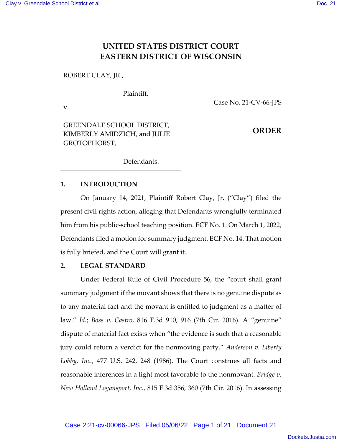# **UNITED STATES DISTRICT COURT EASTERN DISTRICT OF WISCONSIN**

ROBERT CLAY, JR.,

Plaintiff,

v.

GREENDALE SCHOOL DISTRICT, KIMBERLY AMIDZICH, and JULIE GROTOPHORST,

Case No. 21-CV-66-JPS

**ORDER**

Defendants.

# **1. INTRODUCTION**

On January 14, 2021, Plaintiff Robert Clay, Jr. ("Clay") filed the present civil rights action, alleging that Defendants wrongfully terminated him from his public-school teaching position. ECF No. 1. On March 1, 2022, Defendants filed a motion for summary judgment. ECF No. 14. That motion is fully briefed, and the Court will grant it.

# **2. LEGAL STANDARD**

Under Federal Rule of Civil Procedure 56, the "court shall grant summary judgment if the movant shows that there is no genuine dispute as to any material fact and the movant is entitled to judgment as a matter of law." *Id.*; *Boss v. Castro*, 816 F.3d 910, 916 (7th Cir. 2016). A "genuine" dispute of material fact exists when "the evidence is such that a reasonable jury could return a verdict for the nonmoving party." *Anderson v. Liberty Lobby, Inc.*, 477 U.S. 242, 248 (1986). The Court construes all facts and reasonable inferences in a light most favorable to the nonmovant. *Bridge v. New Holland Logansport, Inc.*, 815 F.3d 356, 360 (7th Cir. 2016). In assessing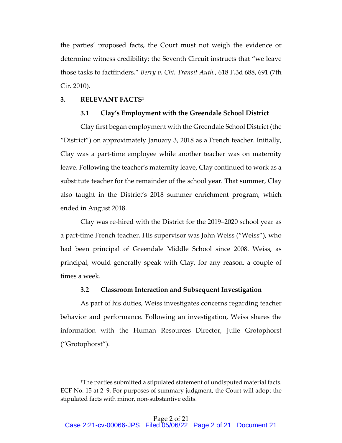the parties' proposed facts, the Court must not weigh the evidence or determine witness credibility; the Seventh Circuit instructs that "we leave those tasks to factfinders." *Berry v. Chi. Transit Auth.*, 618 F.3d 688, 691 (7th Cir. 2010).

# **3. RELEVANT FACTS1**

#### **3.1 Clay's Employment with the Greendale School District**

Clay first began employment with the Greendale School District (the "District") on approximately January 3, 2018 as a French teacher. Initially, Clay was a part-time employee while another teacher was on maternity leave. Following the teacher's maternity leave, Clay continued to work as a substitute teacher for the remainder of the school year. That summer, Clay also taught in the District's 2018 summer enrichment program, which ended in August 2018.

Clay was re-hired with the District for the 2019–2020 school year as a part-time French teacher. His supervisor was John Weiss ("Weiss"), who had been principal of Greendale Middle School since 2008. Weiss, as principal, would generally speak with Clay, for any reason, a couple of times a week.

# **3.2 Classroom Interaction and Subsequent Investigation**

As part of his duties, Weiss investigates concerns regarding teacher behavior and performance. Following an investigation, Weiss shares the information with the Human Resources Director, Julie Grotophorst ("Grotophorst").

<sup>&</sup>lt;sup>1</sup>The parties submitted a stipulated statement of undisputed material facts. ECF No. 15 at 2–9. For purposes of summary judgment, the Court will adopt the stipulated facts with minor, non-substantive edits.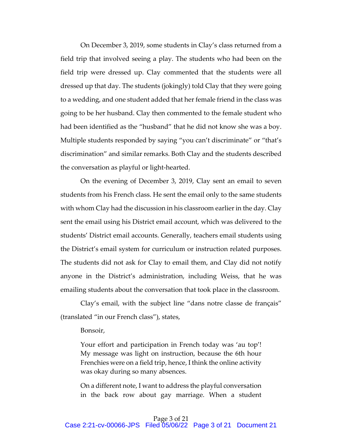On December 3, 2019, some students in Clay's class returned from a field trip that involved seeing a play. The students who had been on the field trip were dressed up. Clay commented that the students were all dressed up that day. The students (jokingly) told Clay that they were going to a wedding, and one student added that her female friend in the class was going to be her husband. Clay then commented to the female student who had been identified as the "husband" that he did not know she was a boy. Multiple students responded by saying "you can't discriminate" or "that's discrimination" and similar remarks. Both Clay and the students described the conversation as playful or light-hearted.

On the evening of December 3, 2019, Clay sent an email to seven students from his French class. He sent the email only to the same students with whom Clay had the discussion in his classroom earlier in the day. Clay sent the email using his District email account, which was delivered to the students' District email accounts. Generally, teachers email students using the District's email system for curriculum or instruction related purposes. The students did not ask for Clay to email them, and Clay did not notify anyone in the District's administration, including Weiss, that he was emailing students about the conversation that took place in the classroom.

Clay's email, with the subject line "dans notre classe de français" (translated "in our French class"), states,

Bonsoir,

Your effort and participation in French today was 'au top'! My message was light on instruction, because the 6th hour Frenchies were on a field trip, hence, I think the online activity was okay during so many absences.

On a different note, I want to address the playful conversation in the back row about gay marriage. When a student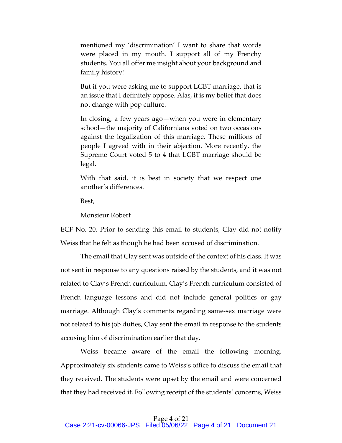mentioned my 'discrimination' I want to share that words were placed in my mouth. I support all of my Frenchy students. You all offer me insight about your background and family history!

But if you were asking me to support LGBT marriage, that is an issue that I definitely oppose. Alas, it is my belief that does not change with pop culture.

In closing, a few years ago—when you were in elementary school—the majority of Californians voted on two occasions against the legalization of this marriage. These millions of people I agreed with in their abjection. More recently, the Supreme Court voted 5 to 4 that LGBT marriage should be legal.

With that said, it is best in society that we respect one another's differences.

Best,

Monsieur Robert

ECF No. 20. Prior to sending this email to students, Clay did not notify Weiss that he felt as though he had been accused of discrimination.

The email that Clay sent was outside of the context of his class. It was not sent in response to any questions raised by the students, and it was not related to Clay's French curriculum. Clay's French curriculum consisted of French language lessons and did not include general politics or gay marriage. Although Clay's comments regarding same-sex marriage were not related to his job duties, Clay sent the email in response to the students accusing him of discrimination earlier that day.

Weiss became aware of the email the following morning. Approximately six students came to Weiss's office to discuss the email that they received. The students were upset by the email and were concerned that they had received it. Following receipt of the students' concerns, Weiss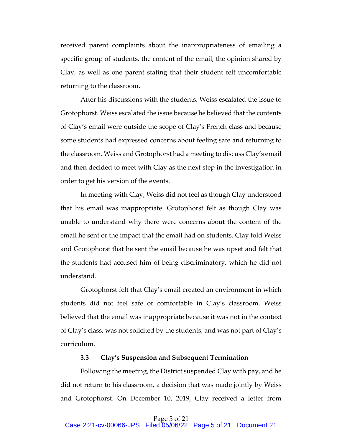received parent complaints about the inappropriateness of emailing a specific group of students, the content of the email, the opinion shared by Clay, as well as one parent stating that their student felt uncomfortable returning to the classroom.

After his discussions with the students, Weiss escalated the issue to Grotophorst. Weiss escalated the issue because he believed that the contents of Clay's email were outside the scope of Clay's French class and because some students had expressed concerns about feeling safe and returning to the classroom. Weiss and Grotophorst had a meeting to discuss Clay's email and then decided to meet with Clay as the next step in the investigation in order to get his version of the events.

In meeting with Clay, Weiss did not feel as though Clay understood that his email was inappropriate. Grotophorst felt as though Clay was unable to understand why there were concerns about the content of the email he sent or the impact that the email had on students. Clay told Weiss and Grotophorst that he sent the email because he was upset and felt that the students had accused him of being discriminatory, which he did not understand.

Grotophorst felt that Clay's email created an environment in which students did not feel safe or comfortable in Clay's classroom. Weiss believed that the email was inappropriate because it was not in the context of Clay's class, was not solicited by the students, and was not part of Clay's curriculum.

### **3.3 Clay's Suspension and Subsequent Termination**

Following the meeting, the District suspended Clay with pay, and he did not return to his classroom, a decision that was made jointly by Weiss and Grotophorst. On December 10, 2019, Clay received a letter from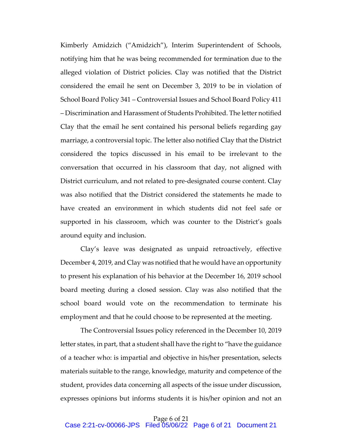Kimberly Amidzich ("Amidzich"), Interim Superintendent of Schools, notifying him that he was being recommended for termination due to the alleged violation of District policies. Clay was notified that the District considered the email he sent on December 3, 2019 to be in violation of School Board Policy 341 – Controversial Issues and School Board Policy 411 – Discrimination and Harassment of Students Prohibited. The letter notified Clay that the email he sent contained his personal beliefs regarding gay marriage, a controversial topic. The letter also notified Clay that the District considered the topics discussed in his email to be irrelevant to the conversation that occurred in his classroom that day, not aligned with District curriculum, and not related to pre-designated course content. Clay was also notified that the District considered the statements he made to have created an environment in which students did not feel safe or supported in his classroom, which was counter to the District's goals around equity and inclusion.

Clay's leave was designated as unpaid retroactively, effective December 4, 2019, and Clay was notified that he would have an opportunity to present his explanation of his behavior at the December 16, 2019 school board meeting during a closed session. Clay was also notified that the school board would vote on the recommendation to terminate his employment and that he could choose to be represented at the meeting.

The Controversial Issues policy referenced in the December 10, 2019 letter states, in part, that a student shall have the right to "have the guidance of a teacher who: is impartial and objective in his/her presentation, selects materials suitable to the range, knowledge, maturity and competence of the student, provides data concerning all aspects of the issue under discussion, expresses opinions but informs students it is his/her opinion and not an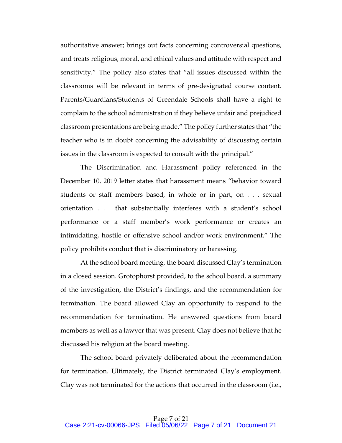authoritative answer; brings out facts concerning controversial questions, and treats religious, moral, and ethical values and attitude with respect and sensitivity." The policy also states that "all issues discussed within the classrooms will be relevant in terms of pre-designated course content. Parents/Guardians/Students of Greendale Schools shall have a right to complain to the school administration if they believe unfair and prejudiced classroom presentations are being made." The policy further states that "the teacher who is in doubt concerning the advisability of discussing certain issues in the classroom is expected to consult with the principal."

The Discrimination and Harassment policy referenced in the December 10, 2019 letter states that harassment means "behavior toward students or staff members based, in whole or in part, on . . . sexual orientation . . . that substantially interferes with a student's school performance or a staff member's work performance or creates an intimidating, hostile or offensive school and/or work environment." The policy prohibits conduct that is discriminatory or harassing.

At the school board meeting, the board discussed Clay's termination in a closed session. Grotophorst provided, to the school board, a summary of the investigation, the District's findings, and the recommendation for termination. The board allowed Clay an opportunity to respond to the recommendation for termination. He answered questions from board members as well as a lawyer that was present. Clay does not believe that he discussed his religion at the board meeting.

The school board privately deliberated about the recommendation for termination. Ultimately, the District terminated Clay's employment. Clay was not terminated for the actions that occurred in the classroom (i.e.,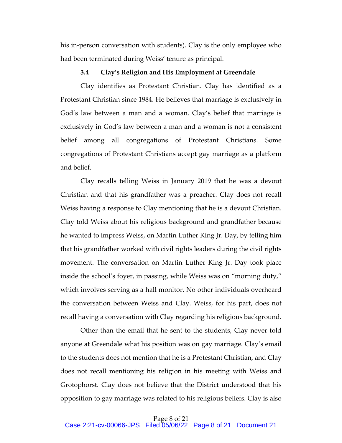his in-person conversation with students). Clay is the only employee who had been terminated during Weiss' tenure as principal.

#### **3.4 Clay's Religion and His Employment at Greendale**

Clay identifies as Protestant Christian. Clay has identified as a Protestant Christian since 1984. He believes that marriage is exclusively in God's law between a man and a woman. Clay's belief that marriage is exclusively in God's law between a man and a woman is not a consistent belief among all congregations of Protestant Christians. Some congregations of Protestant Christians accept gay marriage as a platform and belief.

Clay recalls telling Weiss in January 2019 that he was a devout Christian and that his grandfather was a preacher. Clay does not recall Weiss having a response to Clay mentioning that he is a devout Christian. Clay told Weiss about his religious background and grandfather because he wanted to impress Weiss, on Martin Luther King Jr. Day, by telling him that his grandfather worked with civil rights leaders during the civil rights movement. The conversation on Martin Luther King Jr. Day took place inside the school's foyer, in passing, while Weiss was on "morning duty," which involves serving as a hall monitor. No other individuals overheard the conversation between Weiss and Clay. Weiss, for his part, does not recall having a conversation with Clay regarding his religious background.

Other than the email that he sent to the students, Clay never told anyone at Greendale what his position was on gay marriage. Clay's email to the students does not mention that he is a Protestant Christian, and Clay does not recall mentioning his religion in his meeting with Weiss and Grotophorst. Clay does not believe that the District understood that his opposition to gay marriage was related to his religious beliefs. Clay is also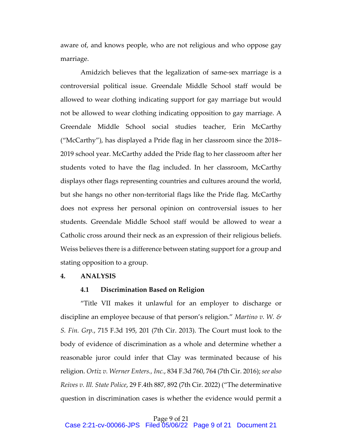aware of, and knows people, who are not religious and who oppose gay marriage.

Amidzich believes that the legalization of same-sex marriage is a controversial political issue. Greendale Middle School staff would be allowed to wear clothing indicating support for gay marriage but would not be allowed to wear clothing indicating opposition to gay marriage. A Greendale Middle School social studies teacher, Erin McCarthy ("McCarthy"), has displayed a Pride flag in her classroom since the 2018– 2019 school year. McCarthy added the Pride flag to her classroom after her students voted to have the flag included. In her classroom, McCarthy displays other flags representing countries and cultures around the world, but she hangs no other non-territorial flags like the Pride flag. McCarthy does not express her personal opinion on controversial issues to her students. Greendale Middle School staff would be allowed to wear a Catholic cross around their neck as an expression of their religious beliefs. Weiss believes there is a difference between stating support for a group and stating opposition to a group.

#### **4. ANALYSIS**

## **4.1 Discrimination Based on Religion**

"Title VII makes it unlawful for an employer to discharge or discipline an employee because of that person's religion." *Martino v. W. & S. Fin. Grp.*, 715 F.3d 195, 201 (7th Cir. 2013). The Court must look to the body of evidence of discrimination as a whole and determine whether a reasonable juror could infer that Clay was terminated because of his religion. *Ortiz v. Werner Enters., Inc.*, 834 F.3d 760, 764 (7th Cir. 2016); *see also Reives v. Ill. State Police*, 29 F.4th 887, 892 (7th Cir. 2022) ("The determinative question in discrimination cases is whether the evidence would permit a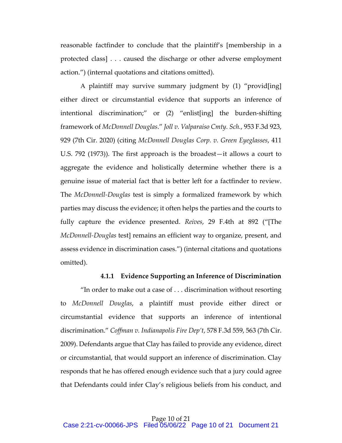reasonable factfinder to conclude that the plaintiff's [membership in a protected class] . . . caused the discharge or other adverse employment action.") (internal quotations and citations omitted).

A plaintiff may survive summary judgment by (1) "provid[ing] either direct or circumstantial evidence that supports an inference of intentional discrimination;" or (2) "enlist[ing] the burden-shifting framework of *McDonnell Douglas*." *Joll v. Valparaiso Cmty. Sch.*, 953 F.3d 923, 929 (7th Cir. 2020) (citing *McDonnell Douglas Corp. v. Green Eyeglasses*, 411 U.S. 792 (1973)). The first approach is the broadest—it allows a court to aggregate the evidence and holistically determine whether there is a genuine issue of material fact that is better left for a factfinder to review. The *McDonnell-Douglas* test is simply a formalized framework by which parties may discuss the evidence; it often helps the parties and the courts to fully capture the evidence presented. *Reives*, 29 F.4th at 892 ("[The *McDonnell-Douglas* test] remains an efficient way to organize, present, and assess evidence in discrimination cases.") (internal citations and quotations omitted).

#### **4.1.1 Evidence Supporting an Inference of Discrimination**

"In order to make out a case of  $\dots$  discrimination without resorting to *McDonnell Douglas*, a plaintiff must provide either direct or circumstantial evidence that supports an inference of intentional discrimination." *Coffman v. Indianapolis Fire Dep't*, 578 F.3d 559, 563 (7th Cir. 2009). Defendants argue that Clay has failed to provide any evidence, direct or circumstantial, that would support an inference of discrimination. Clay responds that he has offered enough evidence such that a jury could agree that Defendants could infer Clay's religious beliefs from his conduct, and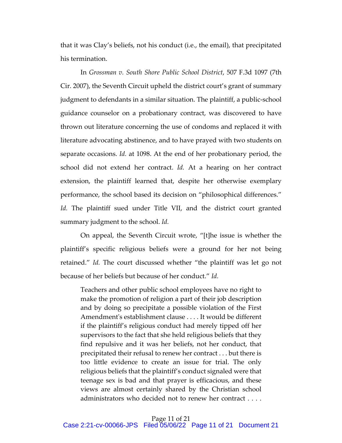that it was Clay's beliefs, not his conduct (i.e., the email), that precipitated his termination.

In *Grossman v. South Shore Public School District*, 507 F.3d 1097 (7th Cir. 2007), the Seventh Circuit upheld the district court's grant of summary judgment to defendants in a similar situation. The plaintiff, a public-school guidance counselor on a probationary contract, was discovered to have thrown out literature concerning the use of condoms and replaced it with literature advocating abstinence, and to have prayed with two students on separate occasions. *Id.* at 1098. At the end of her probationary period, the school did not extend her contract. *Id.* At a hearing on her contract extension, the plaintiff learned that, despite her otherwise exemplary performance, the school based its decision on "philosophical differences." *Id.* The plaintiff sued under Title VII, and the district court granted summary judgment to the school. *Id.* 

On appeal, the Seventh Circuit wrote, "[t]he issue is whether the plaintiff's specific religious beliefs were a ground for her not being retained." *Id.* The court discussed whether "the plaintiff was let go not because of her beliefs but because of her conduct." *Id.*

Teachers and other public school employees have no right to make the promotion of religion a part of their job description and by doing so precipitate a possible violation of the First Amendment's establishment clause . . . . It would be different if the plaintiff's religious conduct had merely tipped off her supervisors to the fact that she held religious beliefs that they find repulsive and it was her beliefs, not her conduct, that precipitated their refusal to renew her contract . . . but there is too little evidence to create an issue for trial. The only religious beliefs that the plaintiff's conduct signaled were that teenage sex is bad and that prayer is efficacious, and these views are almost certainly shared by the Christian school administrators who decided not to renew her contract . . . .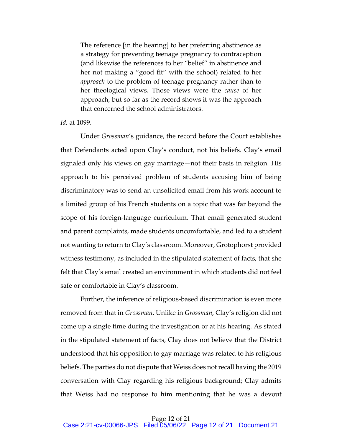The reference [in the hearing] to her preferring abstinence as a strategy for preventing teenage pregnancy to contraception (and likewise the references to her "belief" in abstinence and her not making a "good fit" with the school) related to her *approach* to the problem of teenage pregnancy rather than to her theological views. Those views were the *cause* of her approach, but so far as the record shows it was the approach that concerned the school administrators.

# *Id.* at 1099.

Under *Grossman*'s guidance, the record before the Court establishes that Defendants acted upon Clay's conduct, not his beliefs. Clay's email signaled only his views on gay marriage—not their basis in religion. His approach to his perceived problem of students accusing him of being discriminatory was to send an unsolicited email from his work account to a limited group of his French students on a topic that was far beyond the scope of his foreign-language curriculum. That email generated student and parent complaints, made students uncomfortable, and led to a student not wanting to return to Clay's classroom. Moreover, Grotophorst provided witness testimony, as included in the stipulated statement of facts, that she felt that Clay's email created an environment in which students did not feel safe or comfortable in Clay's classroom.

Further, the inference of religious-based discrimination is even more removed from that in *Grossman*. Unlike in *Grossman*, Clay's religion did not come up a single time during the investigation or at his hearing. As stated in the stipulated statement of facts, Clay does not believe that the District understood that his opposition to gay marriage was related to his religious beliefs. The parties do not dispute that Weiss does not recall having the 2019 conversation with Clay regarding his religious background; Clay admits that Weiss had no response to him mentioning that he was a devout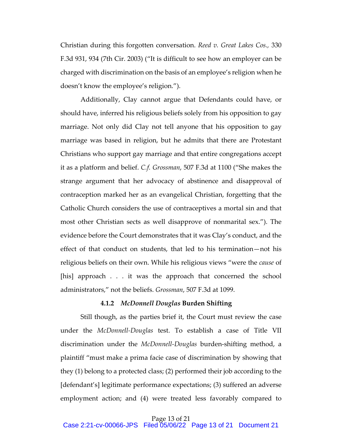Christian during this forgotten conversation. *Reed v. Great Lakes Cos.,* 330 F.3d 931, 934 (7th Cir. 2003) ("It is difficult to see how an employer can be charged with discrimination on the basis of an employee's religion when he doesn't know the employee's religion.").

Additionally, Clay cannot argue that Defendants could have, or should have, inferred his religious beliefs solely from his opposition to gay marriage. Not only did Clay not tell anyone that his opposition to gay marriage was based in religion, but he admits that there are Protestant Christians who support gay marriage and that entire congregations accept it as a platform and belief. *C.f. Grossman*, 507 F.3d at 1100 ("She makes the strange argument that her advocacy of abstinence and disapproval of contraception marked her as an evangelical Christian, forgetting that the Catholic Church considers the use of contraceptives a mortal sin and that most other Christian sects as well disapprove of nonmarital sex."). The evidence before the Court demonstrates that it was Clay's conduct, and the effect of that conduct on students, that led to his termination—not his religious beliefs on their own. While his religious views "were the *cause* of [his] approach . . . it was the approach that concerned the school administrators," not the beliefs. *Grossman*, 507 F.3d at 1099.

#### **4.1.2** *McDonnell Douglas* **Burden Shifting**

Still though, as the parties brief it, the Court must review the case under the *McDonnell-Douglas* test. To establish a case of Title VII discrimination under the *McDonnell-Douglas* burden-shifting method, a plaintiff "must make a prima facie case of discrimination by showing that they (1) belong to a protected class; (2) performed their job according to the [defendant's] legitimate performance expectations; (3) suffered an adverse employment action; and (4) were treated less favorably compared to

Page 13 of 21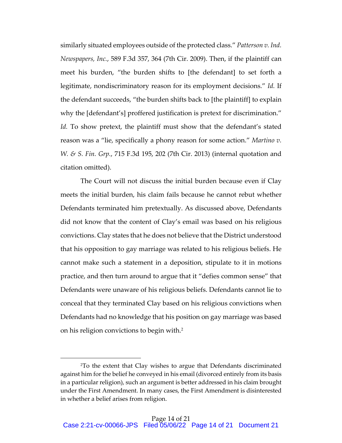similarly situated employees outside of the protected class." *Patterson v. Ind. Newspapers, Inc.*, 589 F.3d 357, 364 (7th Cir. 2009). Then, if the plaintiff can meet his burden, "the burden shifts to [the defendant] to set forth a legitimate, nondiscriminatory reason for its employment decisions." *Id.* If the defendant succeeds, "the burden shifts back to [the plaintiff] to explain why the [defendant's] proffered justification is pretext for discrimination." Id. To show pretext, the plaintiff must show that the defendant's stated reason was a "lie, specifically a phony reason for some action." *Martino v. W. & S. Fin. Grp.*, 715 F.3d 195, 202 (7th Cir. 2013) (internal quotation and citation omitted).

The Court will not discuss the initial burden because even if Clay meets the initial burden, his claim fails because he cannot rebut whether Defendants terminated him pretextually. As discussed above, Defendants did not know that the content of Clay's email was based on his religious convictions. Clay states that he does not believe that the District understood that his opposition to gay marriage was related to his religious beliefs. He cannot make such a statement in a deposition, stipulate to it in motions practice, and then turn around to argue that it "defies common sense" that Defendants were unaware of his religious beliefs. Defendants cannot lie to conceal that they terminated Clay based on his religious convictions when Defendants had no knowledge that his position on gay marriage was based on his religion convictions to begin with.2

<sup>2</sup>To the extent that Clay wishes to argue that Defendants discriminated against him for the belief he conveyed in his email (divorced entirely from its basis in a particular religion), such an argument is better addressed in his claim brought under the First Amendment. In many cases, the First Amendment is disinterested in whether a belief arises from religion.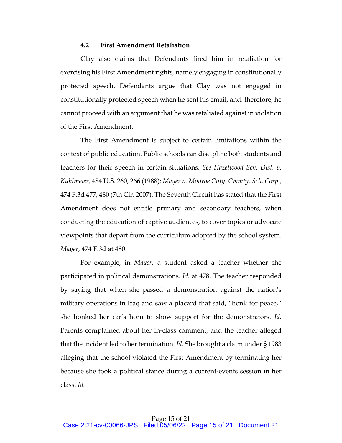# **4.2 First Amendment Retaliation**

Clay also claims that Defendants fired him in retaliation for exercising his First Amendment rights, namely engaging in constitutionally protected speech. Defendants argue that Clay was not engaged in constitutionally protected speech when he sent his email, and, therefore, he cannot proceed with an argument that he was retaliated against in violation of the First Amendment.

The First Amendment is subject to certain limitations within the context of public education. Public schools can discipline both students and teachers for their speech in certain situations. *See Hazelwood Sch. Dist. v. Kuhlmeier*, 484 U.S. 260, 266 (1988); *Mayer v. Monroe Cnty. Cmmty. Sch. Corp.*, 474 F.3d 477, 480 (7th Cir. 2007). The Seventh Circuit has stated that the First Amendment does not entitle primary and secondary teachers, when conducting the education of captive audiences, to cover topics or advocate viewpoints that depart from the curriculum adopted by the school system. *Mayer*, 474 F.3d at 480.

For example, in *Mayer*, a student asked a teacher whether she participated in political demonstrations. *Id.* at 478. The teacher responded by saying that when she passed a demonstration against the nation's military operations in Iraq and saw a placard that said, "honk for peace," she honked her car's horn to show support for the demonstrators. *Id.* Parents complained about her in-class comment, and the teacher alleged that the incident led to her termination. *Id.* She brought a claim under § 1983 alleging that the school violated the First Amendment by terminating her because she took a political stance during a current-events session in her class. *Id.*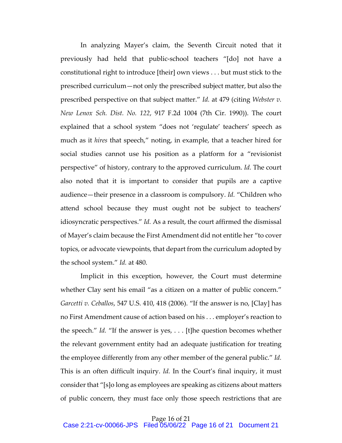In analyzing Mayer's claim, the Seventh Circuit noted that it previously had held that public-school teachers "[do] not have a constitutional right to introduce [their] own views . . . but must stick to the prescribed curriculum—not only the prescribed subject matter, but also the prescribed perspective on that subject matter." *Id.* at 479 (citing *Webster v. New Lenox Sch. Dist. No. 122*, 917 F.2d 1004 (7th Cir. 1990)). The court explained that a school system "does not 'regulate' teachers' speech as much as it *hires* that speech," noting, in example, that a teacher hired for social studies cannot use his position as a platform for a "revisionist perspective" of history, contrary to the approved curriculum. *Id.* The court also noted that it is important to consider that pupils are a captive audience—their presence in a classroom is compulsory. *Id.* "Children who attend school because they must ought not be subject to teachers' idiosyncratic perspectives." *Id.* As a result, the court affirmed the dismissal of Mayer's claim because the First Amendment did not entitle her "to cover topics, or advocate viewpoints, that depart from the curriculum adopted by the school system." *Id.* at 480.

Implicit in this exception, however, the Court must determine whether Clay sent his email "as a citizen on a matter of public concern." *Garcetti v. Ceballos*, 547 U.S. 410, 418 (2006). "If the answer is no, [Clay] has no First Amendment cause of action based on his . . . employer's reaction to the speech." *Id.* "If the answer is yes, . . . [t]he question becomes whether the relevant government entity had an adequate justification for treating the employee differently from any other member of the general public." *Id.* This is an often difficult inquiry. *Id.* In the Court's final inquiry, it must consider that "[s]o long as employees are speaking as citizens about matters of public concern, they must face only those speech restrictions that are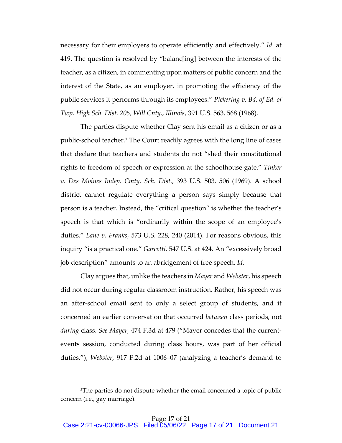necessary for their employers to operate efficiently and effectively." *Id.* at 419. The question is resolved by "balanc[ing] between the interests of the teacher, as a citizen, in commenting upon matters of public concern and the interest of the State, as an employer, in promoting the efficiency of the public services it performs through its employees." *Pickering v. Bd. of Ed. of Twp. High Sch. Dist. 205, Will Cnty., Illinois*, 391 U.S. 563, 568 (1968).

The parties dispute whether Clay sent his email as a citizen or as a public-school teacher.<sup>3</sup> The Court readily agrees with the long line of cases that declare that teachers and students do not "shed their constitutional rights to freedom of speech or expression at the schoolhouse gate." *Tinker v. Des Moines Indep. Cmty. Sch. Dist.*, 393 U.S. 503, 506 (1969). A school district cannot regulate everything a person says simply because that person is a teacher. Instead, the "critical question" is whether the teacher's speech is that which is "ordinarily within the scope of an employee's duties." *Lane v. Franks*, 573 U.S. 228, 240 (2014). For reasons obvious, this inquiry "is a practical one." *Garcetti*, 547 U.S. at 424. An "excessively broad job description" amounts to an abridgement of free speech. *Id.*

Clay argues that, unlike the teachers in *Mayer* and *Webster*, his speech did not occur during regular classroom instruction. Rather, his speech was an after-school email sent to only a select group of students, and it concerned an earlier conversation that occurred *between* class periods, not *during* class. *See Mayer*, 474 F.3d at 479 ("Mayer concedes that the currentevents session, conducted during class hours, was part of her official duties."); *Webster*, 917 F.2d at 1006–07 (analyzing a teacher's demand to

<sup>&</sup>lt;sup>3</sup>The parties do not dispute whether the email concerned a topic of public concern (i.e., gay marriage).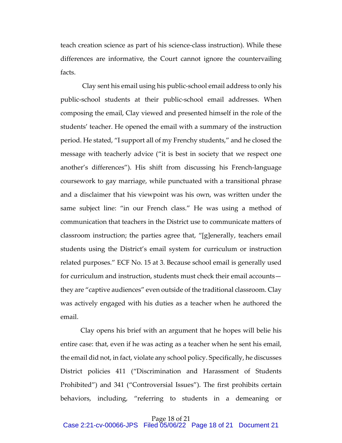teach creation science as part of his science-class instruction). While these differences are informative, the Court cannot ignore the countervailing facts.

Clay sent his email using his public-school email address to only his public-school students at their public-school email addresses. When composing the email, Clay viewed and presented himself in the role of the students' teacher. He opened the email with a summary of the instruction period. He stated, "I support all of my Frenchy students," and he closed the message with teacherly advice ("it is best in society that we respect one another's differences"). His shift from discussing his French-language coursework to gay marriage, while punctuated with a transitional phrase and a disclaimer that his viewpoint was his own, was written under the same subject line: "in our French class." He was using a method of communication that teachers in the District use to communicate matters of classroom instruction; the parties agree that, "[g]enerally, teachers email students using the District's email system for curriculum or instruction related purposes." ECF No. 15 at 3. Because school email is generally used for curriculum and instruction, students must check their email accounts they are "captive audiences" even outside of the traditional classroom. Clay was actively engaged with his duties as a teacher when he authored the email.

Clay opens his brief with an argument that he hopes will belie his entire case: that, even if he was acting as a teacher when he sent his email, the email did not, in fact, violate any school policy. Specifically, he discusses District policies 411 ("Discrimination and Harassment of Students Prohibited") and 341 ("Controversial Issues"). The first prohibits certain behaviors, including, "referring to students in a demeaning or

Page 18 of 21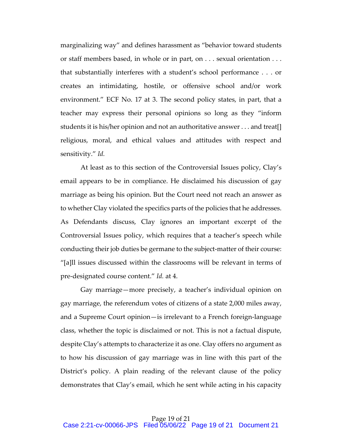marginalizing way" and defines harassment as "behavior toward students or staff members based, in whole or in part, on . . . sexual orientation . . . that substantially interferes with a student's school performance . . . or creates an intimidating, hostile, or offensive school and/or work environment." ECF No. 17 at 3. The second policy states, in part, that a teacher may express their personal opinions so long as they "inform students it is his/her opinion and not an authoritative answer . . . and treat[] religious, moral, and ethical values and attitudes with respect and sensitivity." *Id.*

At least as to this section of the Controversial Issues policy, Clay's email appears to be in compliance. He disclaimed his discussion of gay marriage as being his opinion. But the Court need not reach an answer as to whether Clay violated the specifics parts of the policies that he addresses. As Defendants discuss, Clay ignores an important excerpt of the Controversial Issues policy, which requires that a teacher's speech while conducting their job duties be germane to the subject-matter of their course: "[a]ll issues discussed within the classrooms will be relevant in terms of pre-designated course content." *Id.* at 4.

Gay marriage—more precisely, a teacher's individual opinion on gay marriage, the referendum votes of citizens of a state 2,000 miles away, and a Supreme Court opinion—is irrelevant to a French foreign-language class, whether the topic is disclaimed or not. This is not a factual dispute, despite Clay's attempts to characterize it as one. Clay offers no argument as to how his discussion of gay marriage was in line with this part of the District's policy. A plain reading of the relevant clause of the policy demonstrates that Clay's email, which he sent while acting in his capacity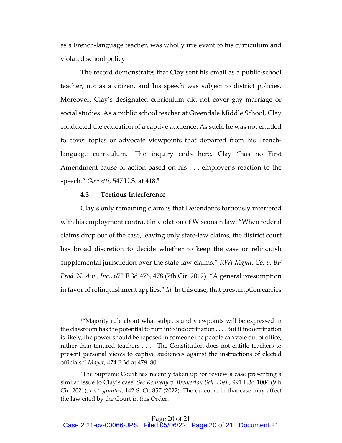as a French-language teacher, was wholly irrelevant to his curriculum and violated school policy.

The record demonstrates that Clay sent his email as a public-school teacher, not as a citizen, and his speech was subject to district policies. Moreover, Clay's designated curriculum did not cover gay marriage or social studies. As a public school teacher at Greendale Middle School, Clay conducted the education of a captive audience. As such, he was not entitled to cover topics or advocate viewpoints that departed from his Frenchlanguage curriculum.<sup>4</sup> The inquiry ends here. Clay "has no First Amendment cause of action based on his . . . employer's reaction to the speech." *Garcetti*, 547 U.S. at 418. 5

# **4.3 Tortious Interference**

Clay's only remaining claim is that Defendants tortiously interfered with his employment contract in violation of Wisconsin law. "When federal claims drop out of the case, leaving only state-law claims, the district court has broad discretion to decide whether to keep the case or relinquish supplemental jurisdiction over the state-law claims." *RWJ Mgmt. Co. v. BP Prod. N. Am., Inc.*, 672 F.3d 476, 478 (7th Cir. 2012). "A general presumption in favor of relinquishment applies." *Id.* In this case, that presumption carries

<sup>&</sup>lt;sup>4"</sup>Majority rule about what subjects and viewpoints will be expressed in the classroom has the potential to turn into indoctrination . . . . But if indoctrination is likely, the power should be reposed in someone the people can vote out of office, rather than tenured teachers . . . . The Constitution does not entitle teachers to present personal views to captive audiences against the instructions of elected officials." *Mayer*, 474 F.3d at 479–80.

<sup>5</sup>The Supreme Court has recently taken up for review a case presenting a similar issue to Clay's case. *See Kennedy v. Bremerton Sch. Dist*., 991 F.3d 1004 (9th Cir. 2021), *cert. granted*, 142 S. Ct. 857 (2022). The outcome in that case may affect the law cited by the Court in this Order.